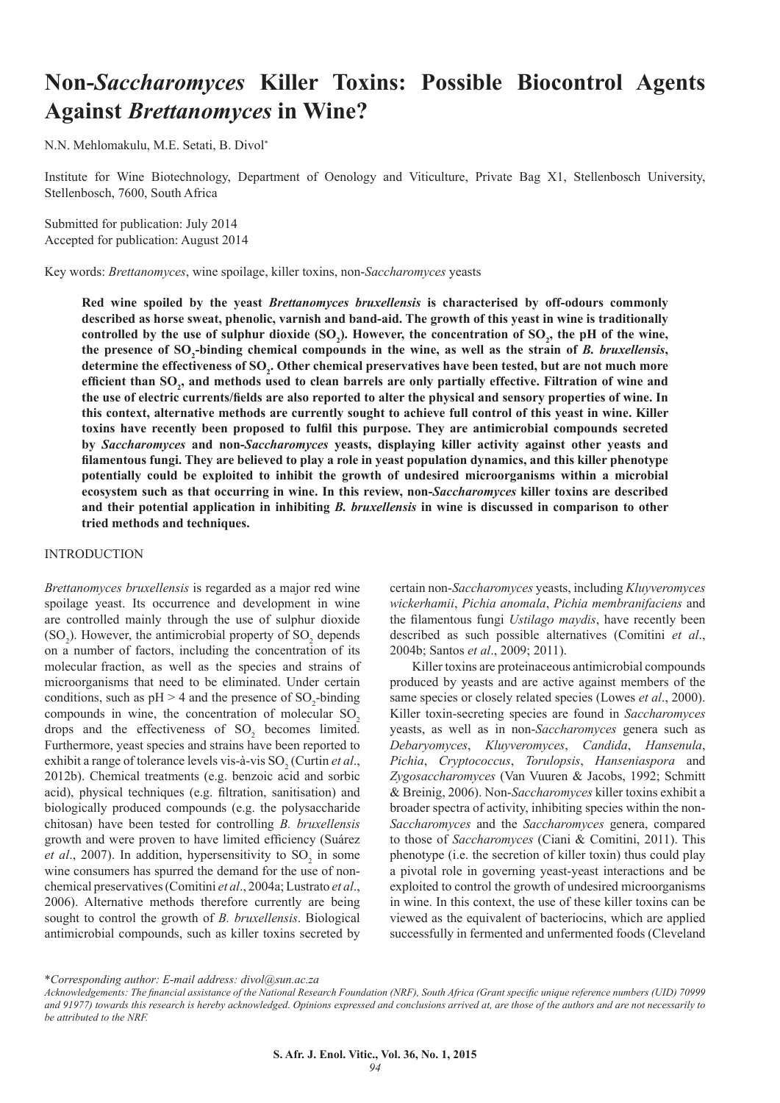# **Non-***Saccharomyces* **Killer Toxins: Possible Biocontrol Agents Against** *Brettanomyces* **in Wine?**

N.N. Mehlomakulu, M.E. Setati, B. Divol\*

Institute for Wine Biotechnology, Department of Oenology and Viticulture, Private Bag X1, Stellenbosch University, Stellenbosch, 7600, South Africa

Submitted for publication: July 2014 Accepted for publication: August 2014

Key words: *Brettanomyces*, wine spoilage, killer toxins, non-*Saccharomyces* yeasts

**Red wine spoiled by the yeast** *Brettanomyces bruxellensis* **is characterised by off-odours commonly described as horse sweat, phenolic, varnish and band-aid. The growth of this yeast in wine is traditionally**  controlled by the use of sulphur dioxide (SO<sub>2</sub>). However, the concentration of SO<sub>2</sub>, the pH of the wine, the presence of SO<sub>2</sub>-binding chemical compounds in the wine, as well as the strain of *B. bruxellensis*, determine the effectiveness of SO<sub>2</sub>. Other chemical preservatives have been tested, but are not much more **efficient than SO<sup>2</sup> , and methods used to clean barrels are only partially effective. Filtration of wine and the use of electric currents/fields are also reported to alter the physical and sensory properties of wine. In this context, alternative methods are currently sought to achieve full control of this yeast in wine. Killer toxins have recently been proposed to fulfil this purpose. They are antimicrobial compounds secreted by** *Saccharomyces* **and non-***Saccharomyces* **yeasts, displaying killer activity against other yeasts and filamentous fungi. They are believed to play a role in yeast population dynamics, and this killer phenotype potentially could be exploited to inhibit the growth of undesired microorganisms within a microbial ecosystem such as that occurring in wine. In this review, non-***Saccharomyces* **killer toxins are described and their potential application in inhibiting** *B. bruxellensis* **in wine is discussed in comparison to other tried methods and techniques.** 

## INTRODUCTION

*Brettanomyces bruxellensis* is regarded as a major red wine spoilage yeast. Its occurrence and development in wine are controlled mainly through the use of sulphur dioxide  $(SO<sub>2</sub>)$ . However, the antimicrobial property of  $SO<sub>2</sub>$  depends on a number of factors, including the concentration of its molecular fraction, as well as the species and strains of microorganisms that need to be eliminated. Under certain conditions, such as  $pH > 4$  and the presence of  $SO_2$ -binding compounds in wine, the concentration of molecular  $SO<sub>2</sub>$ drops and the effectiveness of  $SO_2$  becomes limited. Furthermore, yeast species and strains have been reported to exhibit a range of tolerance levels vis-à-vis  $SO_2$  (Curtin *et al.*, 2012b). Chemical treatments (e.g. benzoic acid and sorbic acid), physical techniques (e.g. filtration, sanitisation) and biologically produced compounds (e.g. the polysaccharide chitosan) have been tested for controlling *B. bruxellensis* growth and were proven to have limited efficiency (Suárez *et al.*, 2007). In addition, hypersensitivity to  $SO_2$  in some wine consumers has spurred the demand for the use of nonchemical preservatives (Comitini *et al*., 2004a; Lustrato *et al*., 2006). Alternative methods therefore currently are being sought to control the growth of *B. bruxellensis*. Biological antimicrobial compounds, such as killer toxins secreted by

certain non-*Saccharomyces* yeasts, including *Kluyveromyces wickerhamii*, *Pichia anomala*, *Pichia membranifaciens* and the filamentous fungi *Ustilago maydis*, have recently been described as such possible alternatives (Comitini *et al*., 2004b; Santos *et al*., 2009; 2011).

Killer toxins are proteinaceous antimicrobial compounds produced by yeasts and are active against members of the same species or closely related species (Lowes *et al*., 2000). Killer toxin-secreting species are found in *Saccharomyces*  yeasts, as well as in non-*Saccharomyces* genera such as *Debaryomyces*, *Kluyveromyces*, *Candida*, *Hansenula*, *Pichia*, *Cryptococcus*, *Torulopsis*, *Hanseniaspora* and *Zygosaccharomyces* (Van Vuuren & Jacobs, 1992; Schmitt & Breinig, 2006). Non-*Saccharomyces* killer toxins exhibit a broader spectra of activity, inhibiting species within the non-*Saccharomyces* and the *Saccharomyces* genera, compared to those of *Saccharomyces* (Ciani & Comitini, 2011). This phenotype (i.e. the secretion of killer toxin) thus could play a pivotal role in governing yeast-yeast interactions and be exploited to control the growth of undesired microorganisms in wine. In this context, the use of these killer toxins can be viewed as the equivalent of bacteriocins, which are applied successfully in fermented and unfermented foods (Cleveland

<sup>\*</sup>*Corresponding author: E-mail address: divol@sun.ac.za*

*Acknowledgements: The financial assistance of the National Research Foundation (NRF), South Africa (Grant specific unique reference numbers (UID) 70999 and 91977) towards this research is hereby acknowledged. Opinions expressed and conclusions arrived at, are those of the authors and are not necessarily to be attributed to the NRF.*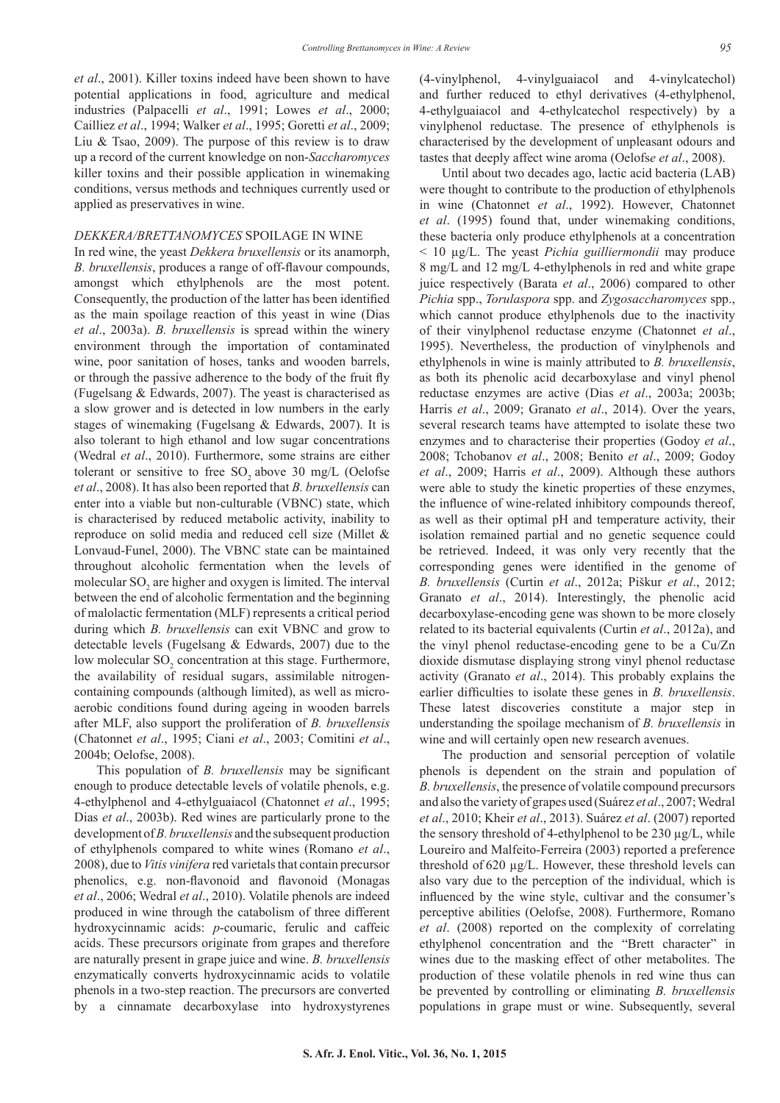*et al*., 2001). Killer toxins indeed have been shown to have potential applications in food, agriculture and medical industries (Palpacelli *et al*., 1991; Lowes *et al*., 2000; Cailliez *et al*., 1994; Walker *et al*., 1995; Goretti *et al*., 2009; Liu & Tsao, 2009). The purpose of this review is to draw up a record of the current knowledge on non-*Saccharomyces* killer toxins and their possible application in winemaking conditions, versus methods and techniques currently used or applied as preservatives in wine.

## *DEKKERA/BRETTANOMYCES* SPOILAGE IN WINE

In red wine, the yeast *Dekkera bruxellensis* or its anamorph, *B. bruxellensis*, produces a range of off-flavour compounds, amongst which ethylphenols are the most potent. Consequently, the production of the latter has been identified as the main spoilage reaction of this yeast in wine (Dias *et al*., 2003a). *B. bruxellensis* is spread within the winery environment through the importation of contaminated wine, poor sanitation of hoses, tanks and wooden barrels, or through the passive adherence to the body of the fruit fly (Fugelsang & Edwards, 2007). The yeast is characterised as a slow grower and is detected in low numbers in the early stages of winemaking (Fugelsang & Edwards, 2007). It is also tolerant to high ethanol and low sugar concentrations (Wedral *et al*., 2010). Furthermore, some strains are either tolerant or sensitive to free  $SO_2$  above 30 mg/L (Oelofse *et al*., 2008). It has also been reported that *B. bruxellensis* can enter into a viable but non-culturable (VBNC) state, which is characterised by reduced metabolic activity, inability to reproduce on solid media and reduced cell size (Millet & Lonvaud-Funel, 2000). The VBNC state can be maintained throughout alcoholic fermentation when the levels of molecular  $SO_2$  are higher and oxygen is limited. The interval between the end of alcoholic fermentation and the beginning of malolactic fermentation (MLF) represents a critical period during which *B. bruxellensis* can exit VBNC and grow to detectable levels (Fugelsang & Edwards, 2007) due to the low molecular  $SO_2$  concentration at this stage. Furthermore, the availability of residual sugars, assimilable nitrogencontaining compounds (although limited), as well as microaerobic conditions found during ageing in wooden barrels after MLF, also support the proliferation of *B. bruxellensis* (Chatonnet *et al*., 1995; Ciani *et al*., 2003; Comitini *et al*., 2004b; Oelofse, 2008).

This population of *B. bruxellensis* may be significant enough to produce detectable levels of volatile phenols, e.g. 4-ethylphenol and 4-ethylguaiacol (Chatonnet *et al*., 1995; Dias *et al*., 2003b). Red wines are particularly prone to the development of *B. bruxellensis* and the subsequent production of ethylphenols compared to white wines (Romano *et al*., 2008), due to *Vitis vinifera* red varietals that contain precursor phenolics, e.g. non-flavonoid and flavonoid (Monagas *et al*., 2006; Wedral *et al*., 2010). Volatile phenols are indeed produced in wine through the catabolism of three different hydroxycinnamic acids: *p*-coumaric, ferulic and caffeic acids. These precursors originate from grapes and therefore are naturally present in grape juice and wine. *B. bruxellensis*  enzymatically converts hydroxycinnamic acids to volatile phenols in a two-step reaction. The precursors are converted by a cinnamate decarboxylase into hydroxystyrenes (4-vinylphenol, 4-vinylguaiacol and 4-vinylcatechol) and further reduced to ethyl derivatives (4-ethylphenol, 4-ethylguaiacol and 4-ethylcatechol respectively) by a vinylphenol reductase. The presence of ethylphenols is characterised by the development of unpleasant odours and tastes that deeply affect wine aroma (Oelofs*e et al*., 2008).

Until about two decades ago, lactic acid bacteria (LAB) were thought to contribute to the production of ethylphenols in wine (Chatonnet *et al*., 1992). However, Chatonnet *et al*. (1995) found that, under winemaking conditions, these bacteria only produce ethylphenols at a concentration < 10 µg/L. The yeast *Pichia guilliermondii* may produce 8 mg/L and 12 mg/L 4-ethylphenols in red and white grape juice respectively (Barata *et al*., 2006) compared to other *Pichia* spp., *Torulaspora* spp. and *Zygosaccharomyces* spp., which cannot produce ethylphenols due to the inactivity of their vinylphenol reductase enzyme (Chatonnet *et al*., 1995). Nevertheless, the production of vinylphenols and ethylphenols in wine is mainly attributed to *B. bruxellensis*, as both its phenolic acid decarboxylase and vinyl phenol reductase enzymes are active (Dias *et al*., 2003a; 2003b; Harris *et al*., 2009; Granato *et al*., 2014). Over the years, several research teams have attempted to isolate these two enzymes and to characterise their properties (Godoy *et al*., 2008; Tchobanov *et al*., 2008; Benito *et al*., 2009; Godoy *et al*., 2009; Harris *et al*., 2009). Although these authors were able to study the kinetic properties of these enzymes, the influence of wine-related inhibitory compounds thereof, as well as their optimal pH and temperature activity, their isolation remained partial and no genetic sequence could be retrieved. Indeed, it was only very recently that the corresponding genes were identified in the genome of *B. bruxellensis* (Curtin *et al*., 2012a; Piškur *et al*., 2012; Granato *et al*., 2014). Interestingly, the phenolic acid decarboxylase-encoding gene was shown to be more closely related to its bacterial equivalents (Curtin *et al*., 2012a), and the vinyl phenol reductase-encoding gene to be a Cu/Zn dioxide dismutase displaying strong vinyl phenol reductase activity (Granato *et al*., 2014). This probably explains the earlier difficulties to isolate these genes in *B. bruxellensis*. These latest discoveries constitute a major step in understanding the spoilage mechanism of *B. bruxellensis* in wine and will certainly open new research avenues.

The production and sensorial perception of volatile phenols is dependent on the strain and population of *B. bruxellensis*, the presence of volatile compound precursors and also the variety of grapes used (Suárez *et al*., 2007; Wedral *et al*., 2010; Kheir *et al*., 2013). Suárez *et al*. (2007) reported the sensory threshold of 4-ethylphenol to be  $230 \mu g/L$ , while Loureiro and Malfeito-Ferreira (2003) reported a preference threshold of 620 µg/L. However, these threshold levels can also vary due to the perception of the individual, which is influenced by the wine style, cultivar and the consumer's perceptive abilities (Oelofse, 2008). Furthermore, Romano *et al*. (2008) reported on the complexity of correlating ethylphenol concentration and the "Brett character" in wines due to the masking effect of other metabolites. The production of these volatile phenols in red wine thus can be prevented by controlling or eliminating *B. bruxellensis*  populations in grape must or wine. Subsequently, several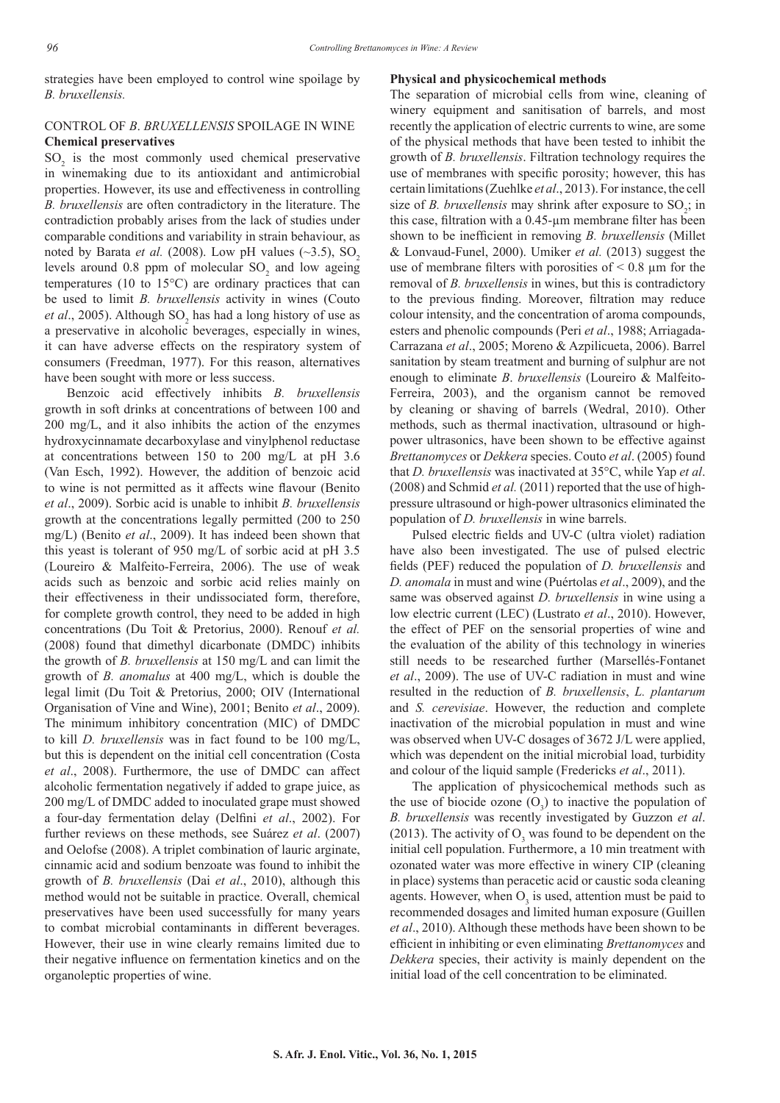strategies have been employed to control wine spoilage by *B. bruxellensis.*

# CONTROL OF *B*. *BRUXELLENSIS* SPOILAGE IN WINE **Chemical preservatives**

 $SO<sub>2</sub>$  is the most commonly used chemical preservative in winemaking due to its antioxidant and antimicrobial properties. However, its use and effectiveness in controlling *B. bruxellensis* are often contradictory in the literature. The contradiction probably arises from the lack of studies under comparable conditions and variability in strain behaviour, as noted by Barata *et al.* (2008). Low pH values  $(\sim 3.5)$ , SO<sub>2</sub> levels around 0.8 ppm of molecular  $SO_2$  and low ageing temperatures (10 to 15°C) are ordinary practices that can be used to limit *B. bruxellensis* activity in wines (Couto *et al.*, 2005). Although  $SO_2$  has had a long history of use as a preservative in alcoholic beverages, especially in wines, it can have adverse effects on the respiratory system of consumers (Freedman, 1977). For this reason, alternatives have been sought with more or less success.

Benzoic acid effectively inhibits *B. bruxellensis* growth in soft drinks at concentrations of between 100 and 200 mg/L, and it also inhibits the action of the enzymes hydroxycinnamate decarboxylase and vinylphenol reductase at concentrations between 150 to 200 mg/L at pH 3.6 (Van Esch, 1992). However, the addition of benzoic acid to wine is not permitted as it affects wine flavour (Benito *et al*., 2009). Sorbic acid is unable to inhibit *B. bruxellensis*  growth at the concentrations legally permitted (200 to 250 mg/L) (Benito *et al*., 2009). It has indeed been shown that this yeast is tolerant of 950 mg/L of sorbic acid at pH 3.5 (Loureiro & Malfeito-Ferreira, 2006). The use of weak acids such as benzoic and sorbic acid relies mainly on their effectiveness in their undissociated form, therefore, for complete growth control, they need to be added in high concentrations (Du Toit & Pretorius, 2000). Renouf *et al.* (2008) found that dimethyl dicarbonate (DMDC) inhibits the growth of *B. bruxellensis* at 150 mg/L and can limit the growth of *B. anomalus* at 400 mg/L, which is double the legal limit (Du Toit & Pretorius, 2000; OIV (International Organisation of Vine and Wine), 2001; Benito *et al*., 2009). The minimum inhibitory concentration (MIC) of DMDC to kill *D. bruxellensis* was in fact found to be 100 mg/L, but this is dependent on the initial cell concentration (Costa *et al*., 2008). Furthermore, the use of DMDC can affect alcoholic fermentation negatively if added to grape juice, as 200 mg/L of DMDC added to inoculated grape must showed a four-day fermentation delay (Delfini *et al*., 2002). For further reviews on these methods, see Suárez *et al*. (2007) and Oelofse (2008). A triplet combination of lauric arginate, cinnamic acid and sodium benzoate was found to inhibit the growth of *B. bruxellensis* (Dai *et al*., 2010), although this method would not be suitable in practice. Overall, chemical preservatives have been used successfully for many years to combat microbial contaminants in different beverages. However, their use in wine clearly remains limited due to their negative influence on fermentation kinetics and on the organoleptic properties of wine.

#### **Physical and physicochemical methods**

The separation of microbial cells from wine, cleaning of winery equipment and sanitisation of barrels, and most recently the application of electric currents to wine, are some of the physical methods that have been tested to inhibit the growth of *B. bruxellensis*. Filtration technology requires the use of membranes with specific porosity; however, this has certain limitations (Zuehlke *et al*., 2013). For instance, the cell size of *B. bruxellensis* may shrink after exposure to  $SO_2$ ; in this case, filtration with a 0.45-µm membrane filter has been shown to be inefficient in removing *B. bruxellensis* (Millet & Lonvaud-Funel, 2000). Umiker *et al.* (2013) suggest the use of membrane filters with porosities of  $\leq 0.8$  µm for the removal of *B. bruxellensis* in wines, but this is contradictory to the previous finding. Moreover, filtration may reduce colour intensity, and the concentration of aroma compounds, esters and phenolic compounds (Peri *et al*., 1988; Arriagada-Carrazana *et al*., 2005; Moreno & Azpilicueta, 2006). Barrel sanitation by steam treatment and burning of sulphur are not enough to eliminate *B*. *bruxellensis* (Loureiro & Malfeito-Ferreira, 2003), and the organism cannot be removed by cleaning or shaving of barrels (Wedral, 2010). Other methods, such as thermal inactivation, ultrasound or highpower ultrasonics, have been shown to be effective against *Brettanomyces* or *Dekkera* species. Couto *et al*. (2005) found that *D. bruxellensis* was inactivated at 35°C, while Yap *et al*. (2008) and Schmid *et al.* (2011) reported that the use of highpressure ultrasound or high-power ultrasonics eliminated the population of *D. bruxellensis* in wine barrels.

Pulsed electric fields and UV-C (ultra violet) radiation have also been investigated. The use of pulsed electric fields (PEF) reduced the population of *D. bruxellensis* and *D. anomala* in must and wine (Puértolas *et al*., 2009), and the same was observed against *D. bruxellensis* in wine using a low electric current (LEC) (Lustrato *et al*., 2010). However, the effect of PEF on the sensorial properties of wine and the evaluation of the ability of this technology in wineries still needs to be researched further (Marsellés-Fontanet *et al*., 2009). The use of UV-C radiation in must and wine resulted in the reduction of *B. bruxellensis*, *L. plantarum*  and *S. cerevisiae*. However, the reduction and complete inactivation of the microbial population in must and wine was observed when UV-C dosages of 3672 J/L were applied, which was dependent on the initial microbial load, turbidity and colour of the liquid sample (Fredericks *et al*., 2011).

The application of physicochemical methods such as the use of biocide ozone  $(O_3)$  to inactive the population of *B. bruxellensis* was recently investigated by Guzzon *et al*. (2013). The activity of  $O_3$  was found to be dependent on the initial cell population. Furthermore, a 10 min treatment with ozonated water was more effective in winery CIP (cleaning in place) systems than peracetic acid or caustic soda cleaning agents. However, when  $O_3$  is used, attention must be paid to recommended dosages and limited human exposure (Guillen *et al*., 2010). Although these methods have been shown to be efficient in inhibiting or even eliminating *Brettanomyces* and *Dekkera* species, their activity is mainly dependent on the initial load of the cell concentration to be eliminated.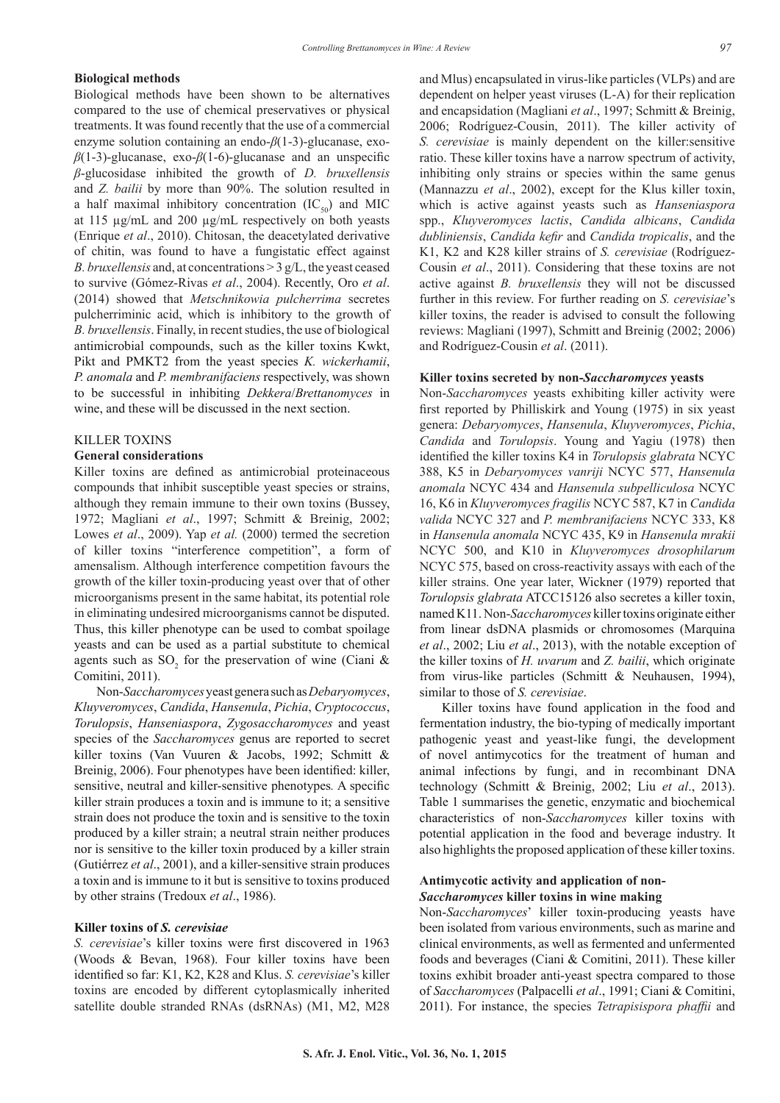## **Biological methods**

Biological methods have been shown to be alternatives compared to the use of chemical preservatives or physical treatments. It was found recently that the use of a commercial enzyme solution containing an endo-*β*(1-3)-glucanase, exo*β*(1-3)-glucanase, exo-*β*(1-6)-glucanase and an unspecific *β*-glucosidase inhibited the growth of *D. bruxellensis* and *Z. bailii* by more than 90%. The solution resulted in a half maximal inhibitory concentration  $(IC_{50})$  and MIC at 115 µg/mL and 200 µg/mL respectively on both yeasts (Enrique *et al*., 2010). Chitosan, the deacetylated derivative of chitin, was found to have a fungistatic effect against *B. bruxellensis* and, at concentrations > 3 g/L, the yeast ceased to survive (Gómez-Rivas *et al*., 2004). Recently, Oro *et al*. (2014) showed that *Metschnikowia pulcherrima* secretes pulcherriminic acid, which is inhibitory to the growth of *B. bruxellensis*. Finally, in recent studies, the use of biological antimicrobial compounds, such as the killer toxins Kwkt, Pikt and PMKT2 from the yeast species *K. wickerhamii*, *P. anomala* and *P. membranifaciens* respectively, was shown to be successful in inhibiting *Dekkera*/*Brettanomyces* in wine, and these will be discussed in the next section.

## KILLER TOXINS

## **General considerations**

Killer toxins are defined as antimicrobial proteinaceous compounds that inhibit susceptible yeast species or strains, although they remain immune to their own toxins (Bussey, 1972; Magliani *et al*., 1997; Schmitt & Breinig, 2002; Lowes *et al*., 2009). Yap *et al.* (2000) termed the secretion of killer toxins "interference competition", a form of amensalism. Although interference competition favours the growth of the killer toxin-producing yeast over that of other microorganisms present in the same habitat, its potential role in eliminating undesired microorganisms cannot be disputed. Thus, this killer phenotype can be used to combat spoilage yeasts and can be used as a partial substitute to chemical agents such as  $SO_2$  for the preservation of wine (Ciani & Comitini, 2011).

Non-*Saccharomyces* yeast genera such as *Debaryomyces*, *Kluyveromyces*, *Candida*, *Hansenula*, *Pichia*, *Cryptococcus*, *Torulopsis*, *Hanseniaspora*, *Zygosaccharomyces* and yeast species of the *Saccharomyces* genus are reported to secret killer toxins (Van Vuuren & Jacobs, 1992; Schmitt & Breinig, 2006). Four phenotypes have been identified: killer, sensitive, neutral and killer-sensitive phenotypes*.* A specific killer strain produces a toxin and is immune to it; a sensitive strain does not produce the toxin and is sensitive to the toxin produced by a killer strain; a neutral strain neither produces nor is sensitive to the killer toxin produced by a killer strain (Gutiérrez *et al*., 2001), and a killer-sensitive strain produces a toxin and is immune to it but is sensitive to toxins produced by other strains (Tredoux *et al*., 1986).

#### **Killer toxins of** *S. cerevisiae*

*S. cerevisiae*'s killer toxins were first discovered in 1963 (Woods & Bevan, 1968). Four killer toxins have been identified so far: K1, K2, K28 and Klus. *S. cerevisiae*'s killer toxins are encoded by different cytoplasmically inherited satellite double stranded RNAs (dsRNAs) (M1, M2, M28 and Mlus) encapsulated in virus-like particles (VLPs) and are dependent on helper yeast viruses (L-A) for their replication and encapsidation (Magliani *et al*., 1997; Schmitt & Breinig, 2006; Rodríguez-Cousin, 2011). The killer activity of *S. cerevisiae* is mainly dependent on the killer:sensitive ratio. These killer toxins have a narrow spectrum of activity, inhibiting only strains or species within the same genus (Mannazzu *et al*., 2002), except for the Klus killer toxin, which is active against yeasts such as *Hanseniaspora* spp., *Kluyveromyces lactis*, *Candida albicans*, *Candida dubliniensis*, *Candida kefir* and *Candida tropicalis*, and the K1, K2 and K28 killer strains of *S. cerevisiae* (Rodríguez-Cousin *et al*., 2011). Considering that these toxins are not active against *B. bruxellensis* they will not be discussed further in this review. For further reading on *S. cerevisiae*'s killer toxins, the reader is advised to consult the following reviews: Magliani (1997), Schmitt and Breinig (2002; 2006) and Rodríguez-Cousin *et al*. (2011).

#### **Killer toxins secreted by non-***Saccharomyces* **yeasts**

Non-*Saccharomyces* yeasts exhibiting killer activity were first reported by Philliskirk and Young (1975) in six yeast genera: *Debaryomyces*, *Hansenula*, *Kluyveromyces*, *Pichia*, *Candida* and *Torulopsis*. Young and Yagiu (1978) then identified the killer toxins K4 in *Torulopsis glabrata* NCYC 388, K5 in *Debaryomyces vanriji* NCYC 577, *Hansenula anomala* NCYC 434 and *Hansenula subpelliculosa* NCYC 16, K6 in *Kluyveromyces fragilis* NCYC 587, K7 in *Candida valida* NCYC 327 and *P. membranifaciens* NCYC 333, K8 in *Hansenula anomala* NCYC 435, K9 in *Hansenula mrakii* NCYC 500, and K10 in *Kluyveromyces drosophilarum*  NCYC 575, based on cross-reactivity assays with each of the killer strains. One year later, Wickner (1979) reported that *Torulopsis glabrata* ATCC15126 also secretes a killer toxin, named K11. Non-*Saccharomyces* killer toxins originate either from linear dsDNA plasmids or chromosomes (Marquina *et al*., 2002; Liu *et al*., 2013), with the notable exception of the killer toxins of *H. uvarum* and *Z. bailii*, which originate from virus-like particles (Schmitt & Neuhausen, 1994), similar to those of *S. cerevisiae*.

Killer toxins have found application in the food and fermentation industry, the bio-typing of medically important pathogenic yeast and yeast-like fungi, the development of novel antimycotics for the treatment of human and animal infections by fungi, and in recombinant DNA technology (Schmitt & Breinig, 2002; Liu *et al*., 2013). Table 1 summarises the genetic, enzymatic and biochemical characteristics of non-*Saccharomyces* killer toxins with potential application in the food and beverage industry. It also highlights the proposed application of these killer toxins.

# **Antimycotic activity and application of non-***Saccharomyces* **killer toxins in wine making**

Non-*Saccharomyces*' killer toxin-producing yeasts have been isolated from various environments, such as marine and clinical environments, as well as fermented and unfermented foods and beverages (Ciani & Comitini, 2011). These killer toxins exhibit broader anti-yeast spectra compared to those of *Saccharomyces* (Palpacelli *et al*., 1991; Ciani & Comitini, 2011). For instance, the species *Tetrapisispora phaffii* and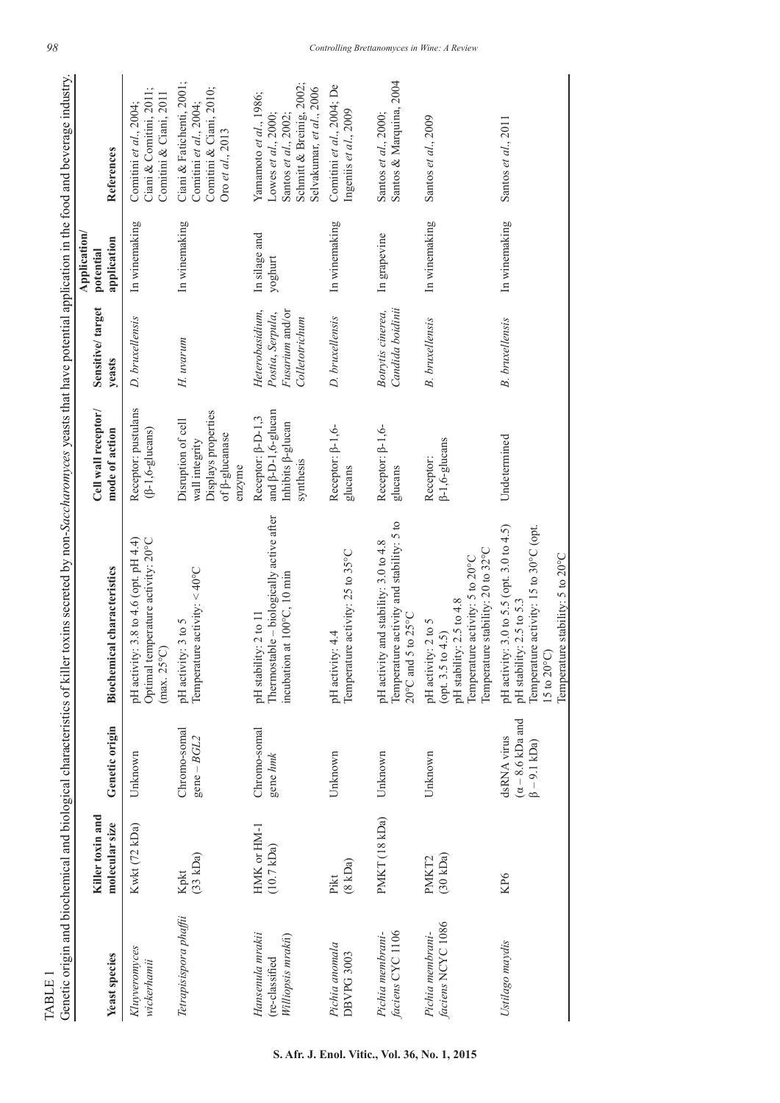| TABLE                                                    |                                     |                                                                      | Genetic origin and biochemical and biological characteristics of killer toxins secreted by non-Saccharomyces yeasts that have potential application in the food and beverage industry. |                                                                                                    |                                                                          |                                          |                                                                                                                                  |
|----------------------------------------------------------|-------------------------------------|----------------------------------------------------------------------|----------------------------------------------------------------------------------------------------------------------------------------------------------------------------------------|----------------------------------------------------------------------------------------------------|--------------------------------------------------------------------------|------------------------------------------|----------------------------------------------------------------------------------------------------------------------------------|
| Yeast species                                            | Killer toxin and<br>molecular size  | Genetic origin                                                       | <b>Biochemical characteristics</b>                                                                                                                                                     | Cell wall receptor/<br>mode of action                                                              | Sensitive/target<br>yeasts                                               | Application/<br>application<br>potential | References                                                                                                                       |
| Kluyveromyces<br>wickerhamii                             | Kwkt (72 kDa)                       | Unknown                                                              | pH activity: 3.8 to 4.6 (opt. pH 4.4)<br>Optimal temperature activity: 20°C<br>$(max. 25^{\circ}C)$                                                                                    | Receptor: pustulans<br>$(\beta-1, 6-glucans)$                                                      | D. bruxellensis                                                          | In winemaking                            | Ciani & Comitini, 2011;<br>Comitini & Ciani, 2011<br>Comitini et $al$ , 2004;                                                    |
| Tetrapisispora phaffii                                   | (33 kDa)<br>Kpkt                    | Chromo-somal<br>$gene-BGL2$                                          | Temperature activity: $<$ 40°C<br>pH activity: 3 to 5                                                                                                                                  | Displays properties<br>Disruption of cell<br>of $\beta$ -glucanase<br>wall integrity<br>enzyme     | H. uvarum                                                                | In winemaking                            | Ciani & Fatichenti, 2001;<br>Comitini & Ciani, 2010;<br>Comitini et al., 2004;<br>Oro et al., 2013                               |
| Hansenula mrakii<br>Williopsis mrakii)<br>(re-classified | HMK or HM-1<br>$(10.7 \text{ kDa})$ | Chromo-somal<br>gene hmk                                             | Thermostable – biologically active after<br>incubation at 100°C, 10 min<br>pH stability: 2 to 11                                                                                       | and $\beta$ -D-1,6-glucan<br>Receptor: $\beta$ -D-1,3<br>Inhibits <sup>B-glucan</sup><br>synthesis | Heterobasidium,<br>Fusarium and/or<br>Postia, Serpula,<br>Colletotrichum | In silage and<br>yoghurt                 | Schmitt & Breinig, 2002;<br>Selvakumar, et al., 2006<br>Yamamoto et al., 1986;<br>Santos et al., 2002;<br>Lowes et al., $2000$ ; |
| Pichia anomala<br>DBVPG 3003                             | (8 kDa)<br>Pikt                     | Unknown                                                              | Temperature activity: 25 to 35°C<br>pH activity: 4.4                                                                                                                                   | Receptor: $\beta$ -1,6-<br>glucans                                                                 | D. bruxellensis                                                          | In winemaking                            | Comitini et al., 2004; De<br>Ingeniis et al., 2009                                                                               |
| faciens CYC 1106<br>Pichia membrani-                     | PMKT (18 kDa)                       | Unknown                                                              | Temperature activity and stability: 5 to<br>pH activity and stability: 3.0 to 4.8<br>$5$ to $25^{\circ}$ C<br>$20^{\circ}$ C and                                                       | Receptor: $\beta$ -1,6-<br>glucans                                                                 | Candida boidinii<br>Botrytis cinerea,                                    | In grapevine                             | Santos & Marquina, 2004<br>Santos et al., 2000;                                                                                  |
| faciens NCYC 1086<br>Pichia membrani-                    | (30 kDa)<br>PMKT <sub>2</sub>       | Unknown                                                              | Temperature stability: 20 to 32°C<br>Temperature activity: 5 to 20°C<br>pH stability: 2.5 to 4.8<br>pH activity: 2 to 5<br>(opt. 3.5 to 4.5)                                           | $\beta-1, 6-glucans$<br>Receptor:                                                                  | <b>B.</b> bruxellensis                                                   | In winemaking                            | Santos et al., 2009                                                                                                              |
| Ustilago maydis                                          | KP6                                 | $(\alpha - 8.6 \text{ kDa and}$<br>dsRNA virus<br>$\beta - 9.1$ kDa) | pH activity: 3.0 to 5.5 (opt. 3.0 to 4.5)<br>Temperature activity: 15 to 30°C (opt.<br>Temperature stability: 5 to 20°C<br>pH stability: 2.5 to 5.3<br>$15$ to $20^{\circ}$ C)         | Undetermined                                                                                       | <b>B.</b> bruxellensis                                                   | In winemaking                            | Santos et al., 2011                                                                                                              |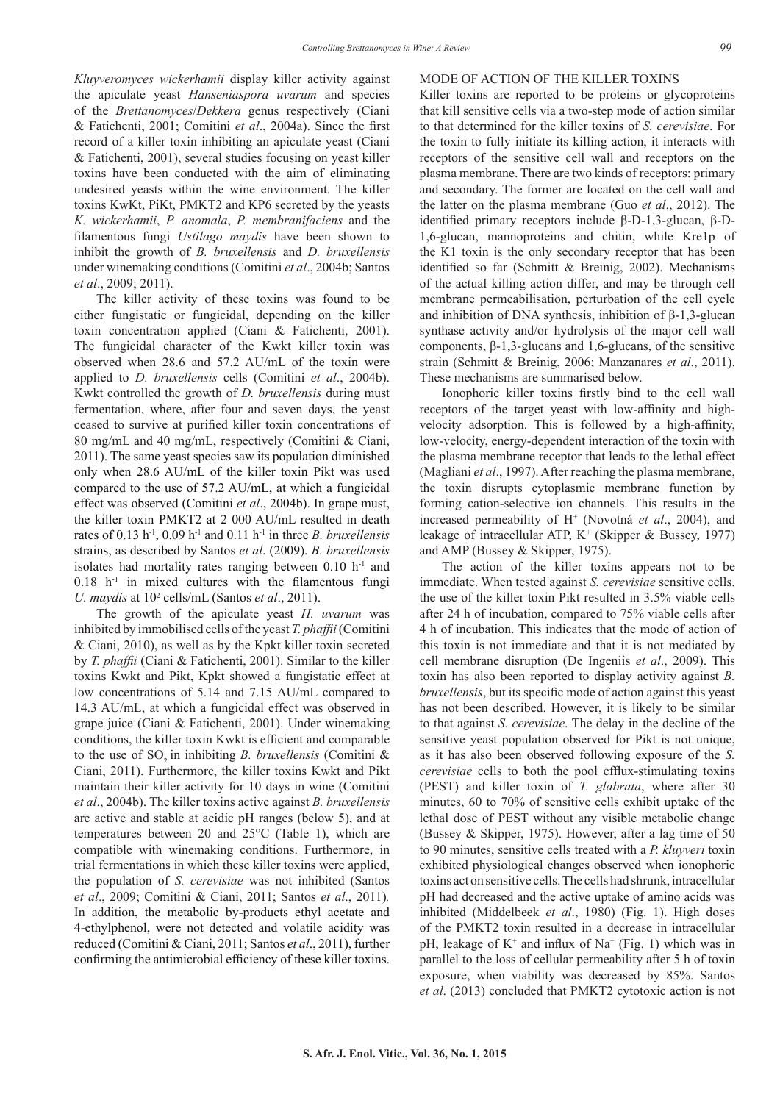*Kluyveromyces wickerhamii* display killer activity against the apiculate yeast *Hanseniaspora uvarum* and species of the *Brettanomyces*/*Dekkera* genus respectively (Ciani & Fatichenti, 2001; Comitini *et al*., 2004a). Since the first record of a killer toxin inhibiting an apiculate yeast (Ciani & Fatichenti, 2001), several studies focusing on yeast killer toxins have been conducted with the aim of eliminating undesired yeasts within the wine environment. The killer toxins KwKt, PiKt, PMKT2 and KP6 secreted by the yeasts *K. wickerhamii*, *P. anomala*, *P. membranifaciens* and the filamentous fungi *Ustilago maydis* have been shown to inhibit the growth of *B. bruxellensis* and *D. bruxellensis*  under winemaking conditions (Comitini *et al*., 2004b; Santos *et al*., 2009; 2011).

The killer activity of these toxins was found to be either fungistatic or fungicidal, depending on the killer toxin concentration applied (Ciani & Fatichenti, 2001). The fungicidal character of the Kwkt killer toxin was observed when 28.6 and 57.2 AU/mL of the toxin were applied to *D. bruxellensis* cells (Comitini *et al*., 2004b). Kwkt controlled the growth of *D. bruxellensis* during must fermentation, where, after four and seven days, the yeast ceased to survive at purified killer toxin concentrations of 80 mg/mL and 40 mg/mL, respectively (Comitini & Ciani, 2011). The same yeast species saw its population diminished only when 28.6 AU/mL of the killer toxin Pikt was used compared to the use of 57.2 AU/mL, at which a fungicidal effect was observed (Comitini *et al*., 2004b). In grape must, the killer toxin PMKT2 at 2 000 AU/mL resulted in death rates of 0.13 h-1, 0.09 h-1 and 0.11 h-1 in three *B. bruxellensis* strains, as described by Santos *et al*. (2009). *B. bruxellensis* isolates had mortality rates ranging between  $0.10$  h<sup>-1</sup> and  $0.18$  h<sup>-1</sup> in mixed cultures with the filamentous fungi *U. maydis* at 10<sup>2</sup> cells/mL (Santos *et al.*, 2011).

The growth of the apiculate yeast *H. uvarum* was inhibited by immobilised cells of the yeast *T. phaffii* (Comitini & Ciani, 2010), as well as by the Kpkt killer toxin secreted by *T. phaffii* (Ciani & Fatichenti, 2001). Similar to the killer toxins Kwkt and Pikt, Kpkt showed a fungistatic effect at low concentrations of 5.14 and 7.15 AU/mL compared to 14.3 AU/mL, at which a fungicidal effect was observed in grape juice (Ciani & Fatichenti, 2001). Under winemaking conditions, the killer toxin Kwkt is efficient and comparable to the use of SO<sub>2</sub> in inhibiting *B. bruxellensis* (Comitini & Ciani, 2011). Furthermore, the killer toxins Kwkt and Pikt maintain their killer activity for 10 days in wine (Comitini *et al*., 2004b). The killer toxins active against *B. bruxellensis* are active and stable at acidic pH ranges (below 5), and at temperatures between 20 and 25°C (Table 1), which are compatible with winemaking conditions. Furthermore, in trial fermentations in which these killer toxins were applied, the population of *S. cerevisiae* was not inhibited (Santos *et al*., 2009; Comitini & Ciani, 2011; Santos *et al*., 2011)*.* In addition, the metabolic by-products ethyl acetate and 4-ethylphenol, were not detected and volatile acidity was reduced (Comitini & Ciani, 2011; Santos *et al*., 2011), further confirming the antimicrobial efficiency of these killer toxins.

#### MODE OF ACTION OF THE KILLER TOXINS

Killer toxins are reported to be proteins or glycoproteins that kill sensitive cells via a two-step mode of action similar to that determined for the killer toxins of *S. cerevisiae*. For the toxin to fully initiate its killing action, it interacts with receptors of the sensitive cell wall and receptors on the plasma membrane. There are two kinds of receptors: primary and secondary. The former are located on the cell wall and the latter on the plasma membrane (Guo *et al*., 2012). The identified primary receptors include β-D-1,3-glucan, β-D-1,6-glucan, mannoproteins and chitin, while Kre1p of the K1 toxin is the only secondary receptor that has been identified so far (Schmitt & Breinig, 2002). Mechanisms of the actual killing action differ, and may be through cell membrane permeabilisation, perturbation of the cell cycle and inhibition of DNA synthesis, inhibition of β-1,3-glucan synthase activity and/or hydrolysis of the major cell wall components, β-1,3-glucans and 1,6-glucans, of the sensitive strain (Schmitt & Breinig, 2006; Manzanares *et al*., 2011). These mechanisms are summarised below.

Ionophoric killer toxins firstly bind to the cell wall receptors of the target yeast with low-affinity and highvelocity adsorption. This is followed by a high-affinity, low-velocity, energy-dependent interaction of the toxin with the plasma membrane receptor that leads to the lethal effect (Magliani *et al*., 1997). After reaching the plasma membrane, the toxin disrupts cytoplasmic membrane function by forming cation-selective ion channels. This results in the increased permeability of H+ (Novotná *et al*., 2004), and leakage of intracellular ATP, K<sup>+</sup> (Skipper & Bussey, 1977) and AMP (Bussey & Skipper, 1975).

The action of the killer toxins appears not to be immediate. When tested against *S. cerevisiae* sensitive cells, the use of the killer toxin Pikt resulted in 3.5% viable cells after 24 h of incubation, compared to 75% viable cells after 4 h of incubation. This indicates that the mode of action of this toxin is not immediate and that it is not mediated by cell membrane disruption (De Ingeniis *et al*., 2009). This toxin has also been reported to display activity against *B. bruxellensis*, but its specific mode of action against this yeast has not been described. However, it is likely to be similar to that against *S. cerevisiae*. The delay in the decline of the sensitive yeast population observed for Pikt is not unique, as it has also been observed following exposure of the *S. cerevisiae* cells to both the pool efflux-stimulating toxins (PEST) and killer toxin of *T. glabrata*, where after 30 minutes, 60 to 70% of sensitive cells exhibit uptake of the lethal dose of PEST without any visible metabolic change (Bussey & Skipper, 1975). However, after a lag time of 50 to 90 minutes, sensitive cells treated with a *P. kluyveri* toxin exhibited physiological changes observed when ionophoric toxins act on sensitive cells. The cells had shrunk, intracellular pH had decreased and the active uptake of amino acids was inhibited (Middelbeek *et al*., 1980) (Fig. 1). High doses of the PMKT2 toxin resulted in a decrease in intracellular pH, leakage of  $K^+$  and influx of Na<sup>+</sup> (Fig. 1) which was in parallel to the loss of cellular permeability after 5 h of toxin exposure, when viability was decreased by 85%. Santos *et al*. (2013) concluded that PMKT2 cytotoxic action is not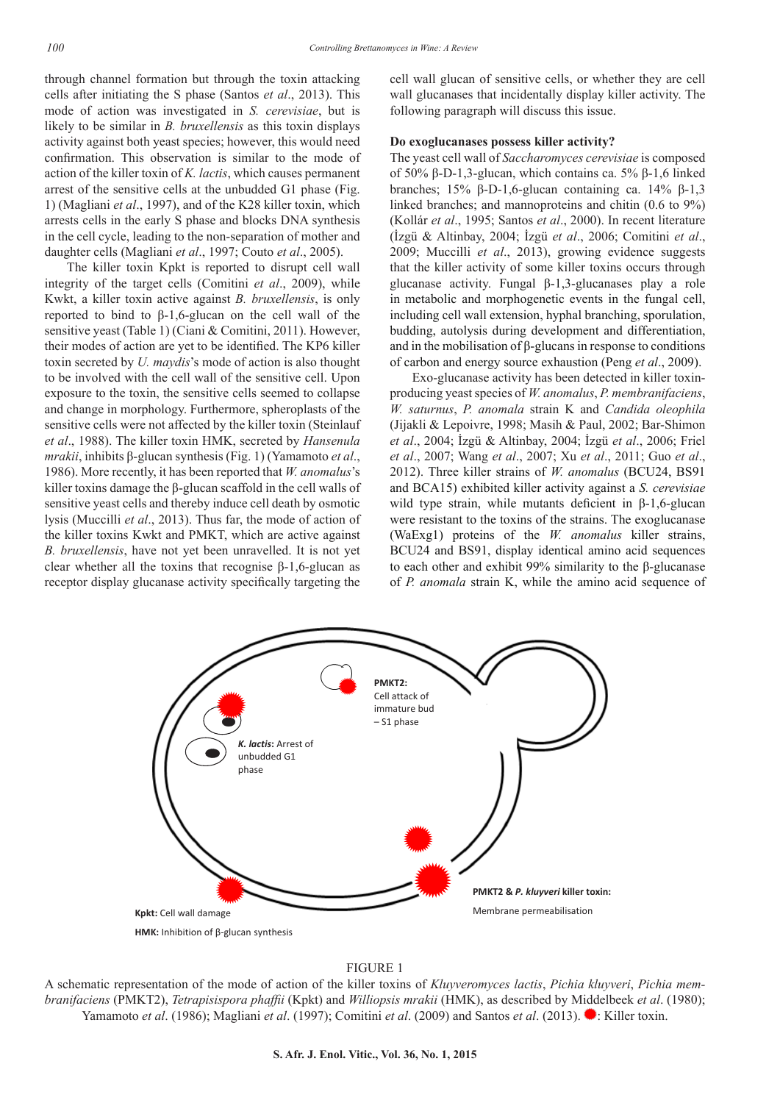through channel formation but through the toxin attacking cells after initiating the S phase (Santos *et al*., 2013). This mode of action was investigated in *S. cerevisiae*, but is likely to be similar in *B. bruxellensis* as this toxin displays activity against both yeast species; however, this would need confirmation. This observation is similar to the mode of action of the killer toxin of *K. lactis*, which causes permanent arrest of the sensitive cells at the unbudded G1 phase (Fig. 1) (Magliani *et al*., 1997), and of the K28 killer toxin, which arrests cells in the early S phase and blocks DNA synthesis in the cell cycle, leading to the non-separation of mother and daughter cells (Magliani *et al*., 1997; Couto *et al*., 2005).

The killer toxin Kpkt is reported to disrupt cell wall integrity of the target cells (Comitini *et al*., 2009), while Kwkt, a killer toxin active against *B. bruxellensis*, is only reported to bind to β-1,6-glucan on the cell wall of the sensitive yeast (Table 1) (Ciani & Comitini, 2011). However, their modes of action are yet to be identified. The KP6 killer toxin secreted by *U. maydis*'s mode of action is also thought to be involved with the cell wall of the sensitive cell. Upon exposure to the toxin, the sensitive cells seemed to collapse and change in morphology. Furthermore, spheroplasts of the sensitive cells were not affected by the killer toxin (Steinlauf *et al*., 1988). The killer toxin HMK, secreted by *Hansenula mrakii*, inhibits β-glucan synthesis (Fig. 1) (Yamamoto *et al*., 1986). More recently, it has been reported that *W. anomalus*'s killer toxins damage the β-glucan scaffold in the cell walls of sensitive yeast cells and thereby induce cell death by osmotic lysis (Muccilli *et al*., 2013). Thus far, the mode of action of the killer toxins Kwkt and PMKT, which are active against *B. bruxellensis*, have not yet been unravelled. It is not yet clear whether all the toxins that recognise  $β-1,6$ -glucan as receptor display glucanase activity specifically targeting the cell wall glucan of sensitive cells, or whether they are cell wall glucanases that incidentally display killer activity. The following paragraph will discuss this issue.

#### **Do exoglucanases possess killer activity?**

The yeast cell wall of *Saccharomyces cerevisiae* is composed of 50% β-D-1,3-glucan, which contains ca. 5% β-1,6 linked branches; 15% β-D-1,6-glucan containing ca. 14% β-1,3 linked branches; and mannoproteins and chitin (0.6 to 9%) (Kollár *et al*., 1995; Santos *et al*., 2000). In recent literature (İzgü & Altinbay, 2004; İzgü *et al*., 2006; Comitini *et al*., 2009; Muccilli *et al*., 2013), growing evidence suggests that the killer activity of some killer toxins occurs through glucanase activity. Fungal β-1,3-glucanases play a role in metabolic and morphogenetic events in the fungal cell, including cell wall extension, hyphal branching, sporulation, budding, autolysis during development and differentiation, and in the mobilisation of β-glucans in response to conditions of carbon and energy source exhaustion (Peng *et al*., 2009).

Exo-glucanase activity has been detected in killer toxinproducing yeast species of *W. anomalus*, *P. membranifaciens*, *W. saturnus*, *P. anomala* strain K and *Candida oleophila* (Jijakli & Lepoivre, 1998; Masih & Paul, 2002; Bar-Shimon *et al*., 2004; İzgü & Altinbay, 2004; İzgü *et al*., 2006; Friel *et al*., 2007; Wang *et al*., 2007; Xu *et al*., 2011; Guo *et al*., 2012). Three killer strains of *W. anomalus* (BCU24, BS91 and BCA15) exhibited killer activity against a *S. cerevisiae* wild type strain, while mutants deficient in β-1,6-glucan were resistant to the toxins of the strains. The exoglucanase (WaExg1) proteins of the *W. anomalus* killer strains, BCU24 and BS91, display identical amino acid sequences to each other and exhibit 99% similarity to the β-glucanase of *P. anomala* strain K, while the amino acid sequence of



## FIGURE 1

A schematic representation of the mode of action of the killer toxins of *Kluyveromyces lactis*, *Pichia kluyveri*, *Pichia membranifaciens* (PMKT2), *Tetrapisispora phaffii* (Kpkt) and *Williopsis mrakii* (HMK), as described by Middelbeek *et al*. (1980); Yamamoto *et al.* (1986); Magliani *et al.* (1997); Comitini *et al.* (2009) and Santos *et al.* (2013). It Killer toxin.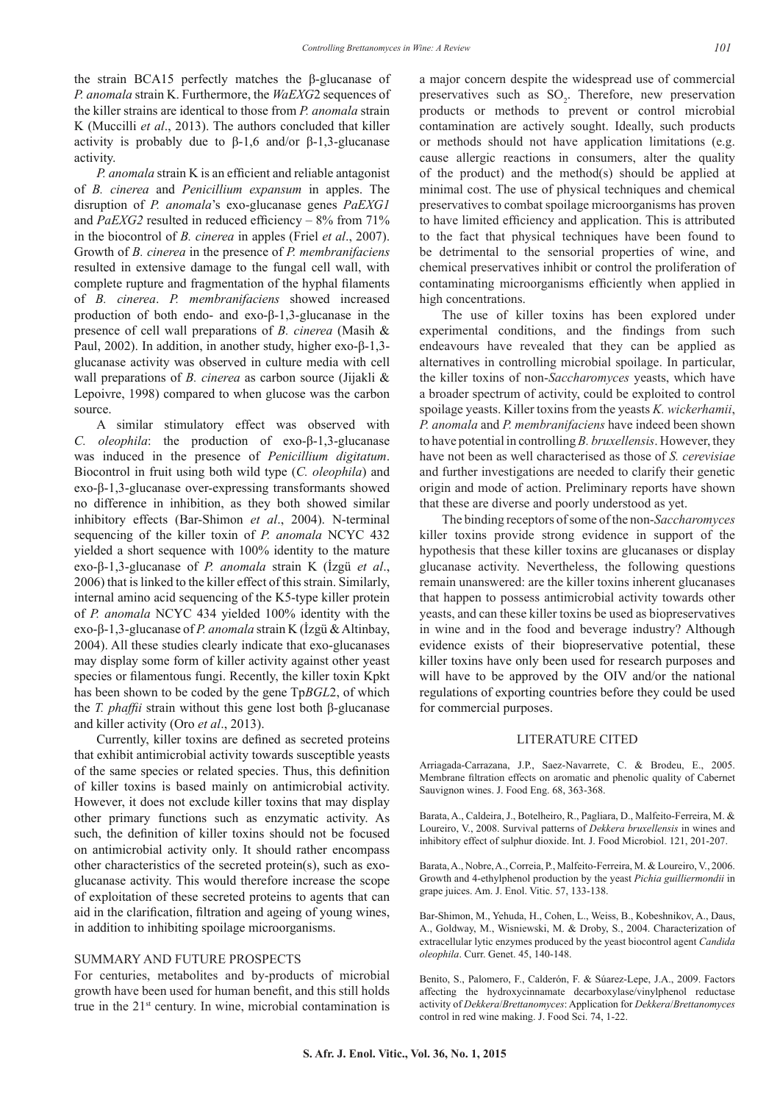the strain BCA15 perfectly matches the β-glucanase of *P. anomala* strain K. Furthermore, the *WaEXG*2 sequences of the killer strains are identical to those from *P. anomala* strain K (Muccilli *et al*., 2013). The authors concluded that killer activity is probably due to  $\beta$ -1,6 and/or  $\beta$ -1,3-glucanase activity.

*P. anomala* strain K is an efficient and reliable antagonist of *B. cinerea* and *Penicillium expansum* in apples. The disruption of *P. anomala*'s exo-glucanase genes *PaEXG1* and *PaEXG2* resulted in reduced efficiency – 8% from 71% in the biocontrol of *B. cinerea* in apples (Friel *et al*., 2007). Growth of *B. cinerea* in the presence of *P. membranifaciens* resulted in extensive damage to the fungal cell wall, with complete rupture and fragmentation of the hyphal filaments of *B. cinerea*. *P. membranifaciens* showed increased production of both endo- and exo-β-1,3-glucanase in the presence of cell wall preparations of *B. cinerea* (Masih & Paul, 2002). In addition, in another study, higher exo-β-1,3 glucanase activity was observed in culture media with cell wall preparations of *B. cinerea* as carbon source (Jijakli & Lepoivre, 1998) compared to when glucose was the carbon source.

A similar stimulatory effect was observed with *C. oleophila*: the production of exo-β-1,3-glucanase was induced in the presence of *Penicillium digitatum*. Biocontrol in fruit using both wild type (*C. oleophila*) and exo-β-1,3-glucanase over-expressing transformants showed no difference in inhibition, as they both showed similar inhibitory effects (Bar-Shimon *et al*., 2004). N-terminal sequencing of the killer toxin of *P. anomala* NCYC 432 yielded a short sequence with 100% identity to the mature exo-β-1,3-glucanase of *P. anomala* strain K (İzgü *et al*., 2006) that is linked to the killer effect of this strain. Similarly, internal amino acid sequencing of the K5-type killer protein of *P. anomala* NCYC 434 yielded 100% identity with the exo-β-1,3-glucanase of *P. anomala* strain K (İzgü & Altinbay, 2004). All these studies clearly indicate that exo-glucanases may display some form of killer activity against other yeast species or filamentous fungi. Recently, the killer toxin Kpkt has been shown to be coded by the gene Tp*BGL*2, of which the *T. phaffii* strain without this gene lost both β-glucanase and killer activity (Oro *et al*., 2013).

Currently, killer toxins are defined as secreted proteins that exhibit antimicrobial activity towards susceptible yeasts of the same species or related species. Thus, this definition of killer toxins is based mainly on antimicrobial activity. However, it does not exclude killer toxins that may display other primary functions such as enzymatic activity. As such, the definition of killer toxins should not be focused on antimicrobial activity only. It should rather encompass other characteristics of the secreted protein(s), such as exoglucanase activity. This would therefore increase the scope of exploitation of these secreted proteins to agents that can aid in the clarification, filtration and ageing of young wines, in addition to inhibiting spoilage microorganisms.

#### SUMMARY AND FUTURE PROSPECTS

For centuries, metabolites and by-products of microbial growth have been used for human benefit, and this still holds true in the  $21<sup>st</sup>$  century. In wine, microbial contamination is a major concern despite the widespread use of commercial preservatives such as  $SO_2$ . Therefore, new preservation products or methods to prevent or control microbial contamination are actively sought. Ideally, such products or methods should not have application limitations (e.g. cause allergic reactions in consumers, alter the quality of the product) and the method(s) should be applied at minimal cost. The use of physical techniques and chemical preservatives to combat spoilage microorganisms has proven to have limited efficiency and application. This is attributed to the fact that physical techniques have been found to be detrimental to the sensorial properties of wine, and chemical preservatives inhibit or control the proliferation of contaminating microorganisms efficiently when applied in high concentrations.

The use of killer toxins has been explored under experimental conditions, and the findings from such endeavours have revealed that they can be applied as alternatives in controlling microbial spoilage. In particular, the killer toxins of non-*Saccharomyces* yeasts, which have a broader spectrum of activity, could be exploited to control spoilage yeasts. Killer toxins from the yeasts *K. wickerhamii*, *P. anomala* and *P. membranifaciens* have indeed been shown to have potential in controlling *B. bruxellensis*. However, they have not been as well characterised as those of *S. cerevisiae* and further investigations are needed to clarify their genetic origin and mode of action. Preliminary reports have shown that these are diverse and poorly understood as yet.

The binding receptors of some of the non-*Saccharomyces* killer toxins provide strong evidence in support of the hypothesis that these killer toxins are glucanases or display glucanase activity. Nevertheless, the following questions remain unanswered: are the killer toxins inherent glucanases that happen to possess antimicrobial activity towards other yeasts, and can these killer toxins be used as biopreservatives in wine and in the food and beverage industry? Although evidence exists of their biopreservative potential, these killer toxins have only been used for research purposes and will have to be approved by the OIV and/or the national regulations of exporting countries before they could be used for commercial purposes.

#### LITERATURE CITED

Arriagada-Carrazana, J.P., Saez-Navarrete, C. & Brodeu, E., 2005. Membrane filtration effects on aromatic and phenolic quality of Cabernet Sauvignon wines. J. Food Eng. 68, 363-368.

Barata, A., Caldeira, J., Botelheiro, R., Pagliara, D., Malfeito-Ferreira, M. & Loureiro, V., 2008. Survival patterns of *Dekkera bruxellensis* in wines and inhibitory effect of sulphur dioxide. Int. J. Food Microbiol. 121, 201-207.

Barata, A., Nobre, A., Correia, P., Malfeito-Ferreira, M. & Loureiro, V., 2006. Growth and 4-ethylphenol production by the yeast *Pichia guilliermondii* in grape juices. Am. J. Enol. Vitic. 57, 133-138.

Bar-Shimon, M., Yehuda, H., Cohen, L., Weiss, B., Kobeshnikov, A., Daus, A., Goldway, M., Wisniewski, M. & Droby, S., 2004. Characterization of extracellular lytic enzymes produced by the yeast biocontrol agent *Candida oleophila*. Curr. Genet. 45, 140-148.

Benito, S., Palomero, F., Calderón, F. & Súarez-Lepe, J.A., 2009. Factors affecting the hydroxycinnamate decarboxylase/vinylphenol reductase activity of *Dekkera*/*Brettanomyces*: Application for *Dekkera*/*Brettanomyces* control in red wine making. J. Food Sci. 74, 1-22.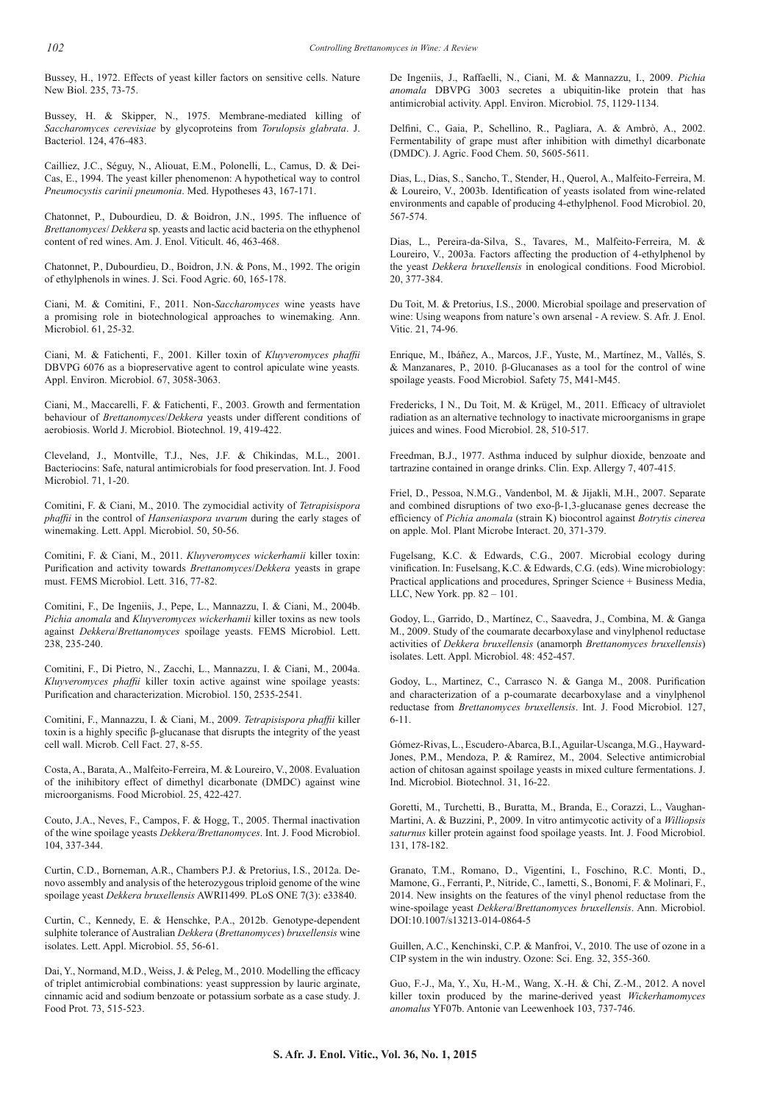Bussey, H., 1972. Effects of yeast killer factors on sensitive cells. Nature New Biol. 235, 73-75.

Bussey, H. & Skipper, N., 1975. Membrane-mediated killing of *Saccharomyces cerevisiae* by glycoproteins from *Torulopsis glabrata*. J. Bacteriol. 124, 476-483.

Cailliez, J.C., Séguy, N., Aliouat, E.M., Polonelli, L., Camus, D. & Dei-Cas, E., 1994. The yeast killer phenomenon: A hypothetical way to control *Pneumocystis carinii pneumonia*. Med. Hypotheses 43, 167-171.

Chatonnet, P., Dubourdieu, D. & Boidron, J.N., 1995. The influence of *Brettanomyces*/ *Dekkera* sp. yeasts and lactic acid bacteria on the ethyphenol content of red wines. Am. J. Enol. Viticult. 46, 463-468.

Chatonnet, P., Dubourdieu, D., Boidron, J.N. & Pons, M., 1992. The origin of ethylphenols in wines. J. Sci. Food Agric. 60, 165-178.

Ciani, M. & Comitini, F., 2011. Non-*Saccharomyces* wine yeasts have a promising role in biotechnological approaches to winemaking. Ann. Microbiol. 61, 25-32.

Ciani, M. & Fatichenti, F., 2001. Killer toxin of *Kluyveromyces phaffii* DBVPG 6076 as a biopreservative agent to control apiculate wine yeasts*.*  Appl. Environ. Microbiol. 67, 3058-3063.

Ciani, M., Maccarelli, F. & Fatichenti, F., 2003. Growth and fermentation behaviour of *Brettanomyces*/*Dekkera* yeasts under different conditions of aerobiosis. World J. Microbiol. Biotechnol. 19, 419-422.

Cleveland, J., Montville, T.J., Nes, J.F. & Chikindas, M.L., 2001. Bacteriocins: Safe, natural antimicrobials for food preservation. Int. J. Food Microbiol. 71, 1-20.

Comitini, F. & Ciani, M., 2010. The zymocidial activity of *Tetrapisispora phaffii* in the control of *Hanseniaspora uvarum* during the early stages of winemaking. Lett. Appl. Microbiol. 50, 50-56.

Comitini, F. & Ciani, M., 2011. *Kluyveromyces wickerhamii* killer toxin: Purification and activity towards *Brettanomyces*/*Dekkera* yeasts in grape must. FEMS Microbiol. Lett. 316, 77-82.

Comitini, F., De Ingeniis, J., Pepe, L., Mannazzu, I. & Ciani, M., 2004b. *Pichia anomala* and *Kluyveromyces wickerhamii* killer toxins as new tools against *Dekkera*/*Brettanomyces* spoilage yeasts. FEMS Microbiol. Lett. 238, 235-240.

Comitini, F., Di Pietro, N., Zacchi, L., Mannazzu, I. & Ciani, M., 2004a. *Kluyveromyces phaffii* killer toxin active against wine spoilage yeasts: Purification and characterization. Microbiol. 150, 2535-2541.

Comitini, F., Mannazzu, I. & Ciani, M., 2009. *Tetrapisispora phaffii* killer toxin is a highly specific β-glucanase that disrupts the integrity of the yeast cell wall. Microb. Cell Fact. 27, 8-55.

Costa, A., Barata, A., Malfeito-Ferreira, M. & Loureiro, V., 2008. Evaluation of the inihibitory effect of dimethyl dicarbonate (DMDC) against wine microorganisms. Food Microbiol. 25, 422-427.

Couto, J.A., Neves, F., Campos, F. & Hogg, T., 2005. Thermal inactivation of the wine spoilage yeasts *Dekkera/Brettanomyces*. Int. J. Food Microbiol. 104, 337-344.

Curtin, C.D., Borneman, A.R., Chambers P.J. & Pretorius, I.S., 2012a. Denovo assembly and analysis of the heterozygous triploid genome of the wine spoilage yeast *Dekkera bruxellensis* AWRI1499. PLoS ONE 7(3): e33840.

Curtin, C., Kennedy, E. & Henschke, P.A., 2012b. Genotype-dependent sulphite tolerance of Australian *Dekkera* (*Brettanomyces*) *bruxellensis* wine isolates. Lett. Appl. Microbiol. 55, 56-61.

Dai, Y., Normand, M.D., Weiss, J. & Peleg, M., 2010. Modelling the efficacy of triplet antimicrobial combinations: yeast suppression by lauric arginate, cinnamic acid and sodium benzoate or potassium sorbate as a case study. J. Food Prot. 73, 515-523.

De Ingeniis, J., Raffaelli, N., Ciani, M. & Mannazzu, I., 2009. *Pichia anomala* DBVPG 3003 secretes a ubiquitin-like protein that has antimicrobial activity. Appl. Environ. Microbiol. 75, 1129-1134.

Delfini, C., Gaia, P., Schellino, R., Pagliara, A. & Ambrò, A., 2002. Fermentability of grape must after inhibition with dimethyl dicarbonate (DMDC). J. Agric. Food Chem. 50, 5605-5611.

Dias, L., Dias, S., Sancho, T., Stender, H., Querol, A., Malfeito-Ferreira, M. & Loureiro, V., 2003b. Identification of yeasts isolated from wine-related environments and capable of producing 4-ethylphenol. Food Microbiol. 20, 567-574.

Dias, L., Pereira-da-Silva, S., Tavares, M., Malfeito-Ferreira, M. & Loureiro, V., 2003a. Factors affecting the production of 4-ethylphenol by the yeast *Dekkera bruxellensis* in enological conditions. Food Microbiol. 20, 377-384.

Du Toit, M. & Pretorius, I.S., 2000. Microbial spoilage and preservation of wine: Using weapons from nature's own arsenal - A review. S. Afr. J. Enol. Vitic. 21, 74-96.

Enrique, M., Ibáñez, A., Marcos, J.F., Yuste, M., Martínez, M., Vallés, S. & Manzanares, P., 2010. β-Glucanases as a tool for the control of wine spoilage yeasts. Food Microbiol. Safety 75, M41-M45.

Fredericks, I N., Du Toit, M. & Krügel, M., 2011. Efficacy of ultraviolet radiation as an alternative technology to inactivate microorganisms in grape juices and wines. Food Microbiol. 28, 510-517.

Freedman, B.J., 1977. Asthma induced by sulphur dioxide, benzoate and tartrazine contained in orange drinks. Clin. Exp. Allergy 7, 407-415.

Friel, D., Pessoa, N.M.G., Vandenbol, M. & Jijakli, M.H., 2007. Separate and combined disruptions of two exo-β-1,3-glucanase genes decrease the efficiency of *Pichia anomala* (strain K) biocontrol against *Botrytis cinerea* on apple. Mol. Plant Microbe Interact. 20, 371-379.

Fugelsang, K.C. & Edwards, C.G., 2007. Microbial ecology during vinification. In: Fuselsang, K.C. & Edwards, C.G. (eds). Wine microbiology: Practical applications and procedures, Springer Science + Business Media, LLC, New York. pp. 82 – 101.

Godoy, L., Garrido, D., Martínez, C., Saavedra, J., Combina, M. & Ganga M., 2009. Study of the coumarate decarboxylase and vinylphenol reductase activities of *Dekkera bruxellensis* (anamorph *Brettanomyces bruxellensis*) isolates. Lett. Appl. Microbiol. 48: 452-457.

Godoy, L., Martinez, C., Carrasco N. & Ganga M., 2008. Purification and characterization of a p-coumarate decarboxylase and a vinylphenol reductase from *Brettanomyces bruxellensis*. Int. J. Food Microbiol. 127, 6-11.

Gómez-Rivas, L., Escudero-Abarca, B.I., Aguilar-Uscanga, M.G., Hayward-Jones, P.M., Mendoza, P. & Ramírez, M., 2004. Selective antimicrobial action of chitosan against spoilage yeasts in mixed culture fermentations. J. Ind. Microbiol. Biotechnol. 31, 16-22.

Goretti, M., Turchetti, B., Buratta, M., Branda, E., Corazzi, L., Vaughan-Martini, A. & Buzzini, P., 2009. In vitro antimycotic activity of a *Williopsis saturnus* killer protein against food spoilage yeasts. Int. J. Food Microbiol. 131, 178-182.

Granato, T.M., Romano, D., Vigentini, I., Foschino, R.C. Monti, D., Mamone, G., Ferranti, P., Nitride, C., Iametti, S., Bonomi, F. & Molinari, F., 2014. New insights on the features of the vinyl phenol reductase from the wine-spoilage yeast *Dekkera*/*Brettanomyces bruxellensis*. Ann. Microbiol. DOI:10.1007/s13213-014-0864-5

Guillen, A.C., Kenchinski, C.P. & Manfroi, V., 2010. The use of ozone in a CIP system in the win industry. Ozone: Sci. Eng. 32, 355-360.

Guo, F.-J., Ma, Y., Xu, H.-M., Wang, X.-H. & Chi, Z.-M., 2012. A novel killer toxin produced by the marine-derived yeast *Wickerhamomyces anomalus* YF07b. Antonie van Leewenhoek 103, 737-746.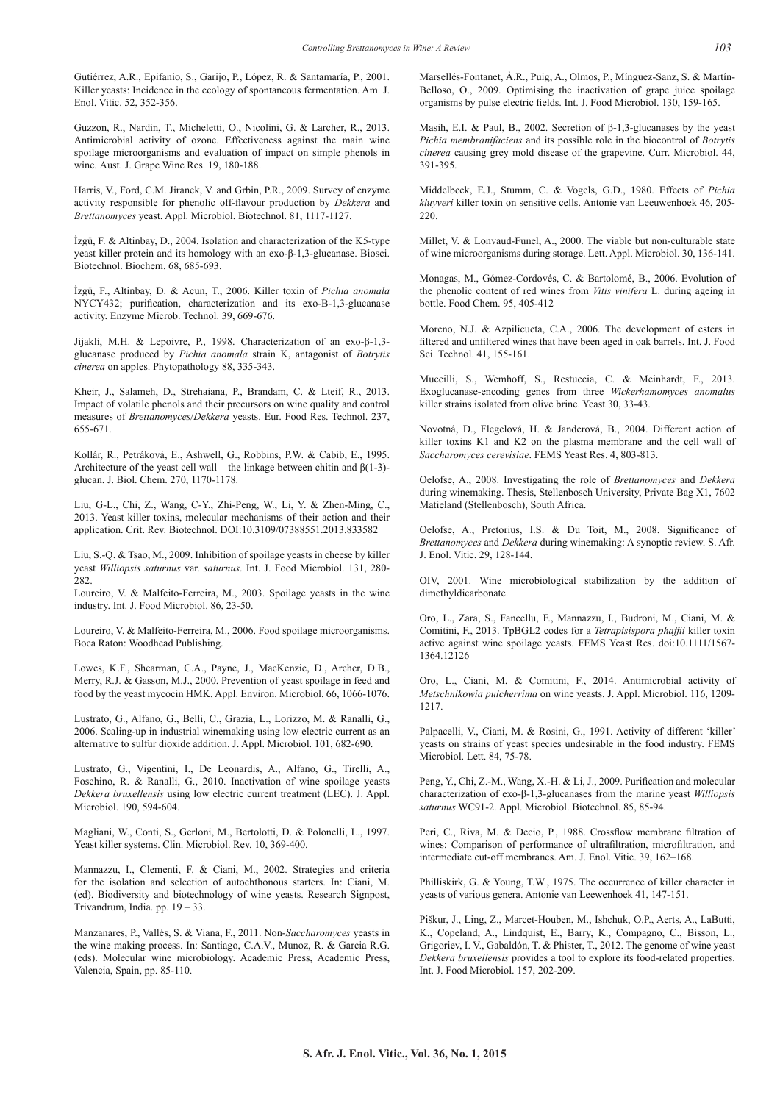Gutiérrez, A.R., Epifanio, S., Garijo, P., López, R. & Santamaría, P., 2001. Killer yeasts: Incidence in the ecology of spontaneous fermentation. Am. J. Enol. Vitic. 52, 352-356.

Guzzon, R., Nardin, T., Micheletti, O., Nicolini, G. & Larcher, R., 2013. Antimicrobial activity of ozone. Effectiveness against the main wine spoilage microorganisms and evaluation of impact on simple phenols in wine*.* Aust. J. Grape Wine Res. 19, 180-188.

Harris, V., Ford, C.M. Jiranek, V. and Grbin, P.R., 2009. Survey of enzyme activity responsible for phenolic off-flavour production by *Dekkera* and *Brettanomyces* yeast. Appl. Microbiol. Biotechnol. 81, 1117-1127.

İzgü, F. & Altinbay, D., 2004. Isolation and characterization of the K5-type yeast killer protein and its homology with an exo-β-1,3-glucanase. Biosci. Biotechnol. Biochem. 68, 685-693.

İzgü, F., Altinbay, D. & Acun, T., 2006. Killer toxin of *Pichia anomala* NYCY432; purification, characterization and its exo-B-1,3-glucanase activity. Enzyme Microb. Technol. 39, 669-676.

Jijakli, M.H. & Lepoivre, P., 1998. Characterization of an exo-β-1,3 glucanase produced by *Pichia anomala* strain K, antagonist of *Botrytis cinerea* on apples. Phytopathology 88, 335-343.

Kheir, J., Salameh, D., Strehaiana, P., Brandam, C. & Lteif, R., 2013. Impact of volatile phenols and their precursors on wine quality and control measures of *Brettanomyces*/*Dekkera* yeasts. Eur. Food Res. Technol. 237, 655-671.

Kollár, R., Petráková, E., Ashwell, G., Robbins, P.W. & Cabib, E., 1995. Architecture of the yeast cell wall – the linkage between chitin and  $\beta(1-3)$ glucan. J. Biol. Chem. 270, 1170-1178.

Liu, G-L., Chi, Z., Wang, C-Y., Zhi-Peng, W., Li, Y. & Zhen-Ming, C., 2013. Yeast killer toxins, molecular mechanisms of their action and their application. Crit. Rev. Biotechnol. DOI:10.3109/07388551.2013.833582

Liu, S.-Q. & Tsao, M., 2009. Inhibition of spoilage yeasts in cheese by killer yeast *Williopsis saturnus* var. *saturnus*. Int. J. Food Microbiol. 131, 280- 282.

Loureiro, V. & Malfeito-Ferreira, M., 2003. Spoilage yeasts in the wine industry. Int. J. Food Microbiol. 86, 23-50.

Loureiro, V. & Malfeito-Ferreira, M., 2006. Food spoilage microorganisms. Boca Raton: Woodhead Publishing.

Lowes, K.F., Shearman, C.A., Payne, J., MacKenzie, D., Archer, D.B., Merry, R.J. & Gasson, M.J., 2000. Prevention of yeast spoilage in feed and food by the yeast mycocin HMK. Appl. Environ. Microbiol. 66, 1066-1076.

Lustrato, G., Alfano, G., Belli, C., Grazia, L., Lorizzo, M. & Ranalli, G., 2006. Scaling-up in industrial winemaking using low electric current as an alternative to sulfur dioxide addition. J. Appl. Microbiol. 101, 682-690.

Lustrato, G., Vigentini, I., De Leonardis, A., Alfano, G., Tirelli, A., Foschino, R. & Ranalli, G., 2010. Inactivation of wine spoilage yeasts *Dekkera bruxellensis* using low electric current treatment (LEC). J. Appl. Microbiol. 190, 594-604.

Magliani, W., Conti, S., Gerloni, M., Bertolotti, D. & Polonelli, L., 1997. Yeast killer systems. Clin. Microbiol. Rev. 10, 369-400.

Mannazzu, I., Clementi, F. & Ciani, M., 2002. Strategies and criteria for the isolation and selection of autochthonous starters. In: Ciani, M. (ed). Biodiversity and biotechnology of wine yeasts. Research Signpost, Trivandrum, India. pp. 19 – 33.

Manzanares, P., Vallés, S. & Viana, F., 2011. Non-*Saccharomyces* yeasts in the wine making process. In: Santiago, C.A.V., Munoz, R. & Garcia R.G. (eds). Molecular wine microbiology. Academic Press, Academic Press, Valencia, Spain, pp. 85-110.

Marsellés-Fontanet, À.R., Puig, A., Olmos, P., Mínguez-Sanz, S. & Martín-Belloso, O., 2009. Optimising the inactivation of grape juice spoilage organisms by pulse electric fields. Int. J. Food Microbiol. 130, 159-165.

Masih, E.I. & Paul, B., 2002. Secretion of β-1,3-glucanases by the yeast *Pichia membranifaciens* and its possible role in the biocontrol of *Botrytis cinerea* causing grey mold disease of the grapevine. Curr. Microbiol. 44, 391-395.

Middelbeek, E.J., Stumm, C. & Vogels, G.D., 1980. Effects of *Pichia kluyveri* killer toxin on sensitive cells. Antonie van Leeuwenhoek 46, 205- 220.

Millet, V. & Lonvaud-Funel, A., 2000. The viable but non-culturable state of wine microorganisms during storage. Lett. Appl. Microbiol. 30, 136-141.

Monagas, M., Gómez-Cordovés, C. & Bartolomé, B., 2006. Evolution of the phenolic content of red wines from *Vitis vinifera* L. during ageing in bottle. Food Chem. 95, 405-412

Moreno, N.J. & Azpilicueta, C.A., 2006. The development of esters in filtered and unfiltered wines that have been aged in oak barrels. Int. J. Food Sci. Technol. 41, 155-161.

Muccilli, S., Wemhoff, S., Restuccia, C. & Meinhardt, F., 2013. Exoglucanase-encoding genes from three *Wickerhamomyces anomalus* killer strains isolated from olive brine. Yeast 30, 33-43.

Novotná, D., Flegelová, H. & Janderová, B., 2004. Different action of killer toxins K1 and K2 on the plasma membrane and the cell wall of *Saccharomyces cerevisiae*. FEMS Yeast Res. 4, 803-813.

Oelofse, A., 2008. Investigating the role of *Brettanomyces* and *Dekkera* during winemaking. Thesis, Stellenbosch University, Private Bag X1, 7602 Matieland (Stellenbosch), South Africa.

Oelofse, A., Pretorius, I.S. & Du Toit, M., 2008. Significance of *Brettanomyces* and *Dekkera* during winemaking: A synoptic review. S. Afr. J. Enol. Vitic. 29, 128-144.

OIV, 2001. Wine microbiological stabilization by the addition of dimethyldicarbonate.

Oro, L., Zara, S., Fancellu, F., Mannazzu, I., Budroni, M., Ciani, M. & Comitini, F., 2013. TpBGL2 codes for a *Tetrapisispora phaffii* killer toxin active against wine spoilage yeasts. FEMS Yeast Res. doi:10.1111/1567- 1364.12126

Oro, L., Ciani, M. & Comitini, F., 2014. Antimicrobial activity of *Metschnikowia pulcherrima* on wine yeasts. J. Appl. Microbiol. 116, 1209- 1217.

Palpacelli, V., Ciani, M. & Rosini, G., 1991. Activity of different 'killer' yeasts on strains of yeast species undesirable in the food industry. FEMS Microbiol. Lett. 84, 75-78.

Peng, Y., Chi, Z.-M., Wang, X.-H. & Li, J., 2009. Purification and molecular characterization of exo-β-1,3-glucanases from the marine yeast *Williopsis saturnus* WC91-2. Appl. Microbiol. Biotechnol. 85, 85-94.

Peri, C., Riva, M. & Decio, P., 1988. Crossflow membrane filtration of wines: Comparison of performance of ultrafiltration, microfiltration, and intermediate cut-off membranes. Am. J. Enol. Vitic. 39, 162–168.

Philliskirk, G. & Young, T.W., 1975. The occurrence of killer character in yeasts of various genera. Antonie van Leewenhoek 41, 147-151.

Piškur, J., Ling, Z., Marcet-Houben, M., Ishchuk, O.P., Aerts, A., LaButti, K., Copeland, A., Lindquist, E., Barry, K., Compagno, C., Bisson, L., Grigoriev, I. V., Gabaldón, T. & Phister, T., 2012. The genome of wine yeast *Dekkera bruxellensis* provides a tool to explore its food-related properties. Int. J. Food Microbiol. 157, 202-209.